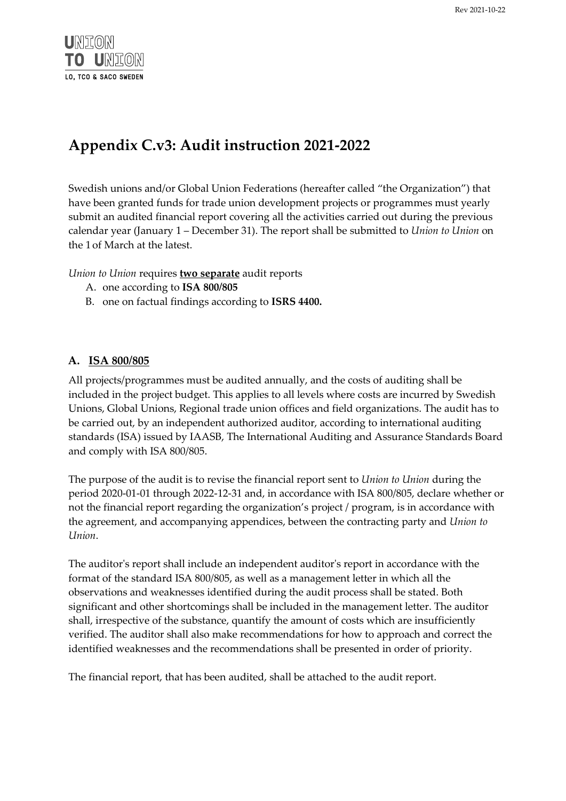

# **Appendix C.v3: Audit instruction 2021-2022**

Swedish unions and/or Global Union Federations (hereafter called "the Organization") that have been granted funds for trade union development projects or programmes must yearly submit an audited financial report covering all the activities carried out during the previous calendar year (January 1 – December 31). The report shall be submitted to *Union to Union* on the 1 of March at the latest.

*Union to Union* requires **two separate** audit reports

- A. one according to **ISA 800/805**
- B. one on factual findings according to **ISRS 4400.**

## **A. ISA 800/805**

All projects/programmes must be audited annually, and the costs of auditing shall be included in the project budget. This applies to all levels where costs are incurred by Swedish Unions, Global Unions, Regional trade union offices and field organizations. The audit has to be carried out, by an independent authorized auditor, according to international auditing standards (ISA) issued by IAASB, The International Auditing and Assurance Standards Board and comply with ISA 800/805.

The purpose of the audit is to revise the financial report sent to *Union to Union* during the period 2020-01-01 through 2022-12-31 and, in accordance with ISA 800/805, declare whether or not the financial report regarding the organization's project / program, is in accordance with the agreement, and accompanying appendices, between the contracting party and *Union to Union*.

The auditor's report shall include an independent auditor's report in accordance with the format of the standard ISA 800/805, as well as a management letter in which all the observations and weaknesses identified during the audit process shall be stated. Both significant and other shortcomings shall be included in the management letter. The auditor shall, irrespective of the substance, quantify the amount of costs which are insufficiently verified. The auditor shall also make recommendations for how to approach and correct the identified weaknesses and the recommendations shall be presented in order of priority.

The financial report, that has been audited, shall be attached to the audit report.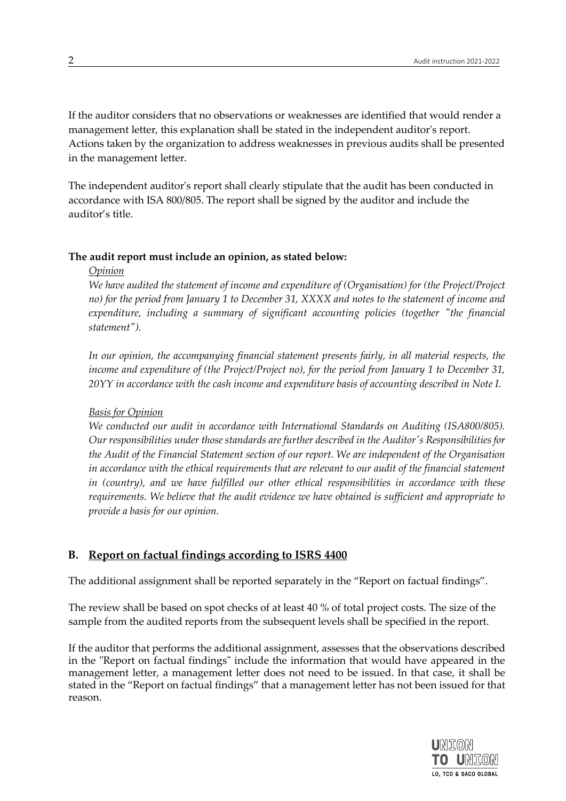If the auditor considers that no observations or weaknesses are identified that would render a management letter, this explanation shall be stated in the independent auditor's report. Actions taken by the organization to address weaknesses in previous audits shall be presented in the management letter.

The independent auditor's report shall clearly stipulate that the audit has been conducted in accordance with ISA 800/805. The report shall be signed by the auditor and include the auditor's title.

### **The audit report must include an opinion, as stated below:**

### *Opinion*

*We have audited the statement of income and expenditure of (Organisation) for (the Project/Project no) for the period from January 1 to December 31, XXXX and notes to the statement of income and expenditure, including a summary of significant accounting policies (together "the financial statement").* 

*In our opinion, the accompanying financial statement presents fairly, in all material respects, the income and expenditure of (the Project/Project no), for the period from January 1 to December 31, 20YY in accordance with the cash income and expenditure basis of accounting described in Note I.* 

#### *Basis for Opinion*

*We conducted our audit in accordance with International Standards on Auditing (ISA800/805). Our responsibilities under those standards are further described in the Auditor's Responsibilities for the Audit of the Financial Statement section of our report. We are independent of the Organisation in accordance with the ethical requirements that are relevant to our audit of the financial statement in (country), and we have fulfilled our other ethical responsibilities in accordance with these requirements. We believe that the audit evidence we have obtained is sufficient and appropriate to provide a basis for our opinion.* 

## **B. Report on factual findings according to ISRS 4400**

The additional assignment shall be reported separately in the "Report on factual findings".

The review shall be based on spot checks of at least 40 % of total project costs. The size of the sample from the audited reports from the subsequent levels shall be specified in the report.

If the auditor that performs the additional assignment, assesses that the observations described in the "Report on factual findings" include the information that would have appeared in the management letter, a management letter does not need to be issued. In that case, it shall be stated in the "Report on factual findings" that a management letter has not been issued for that reason.

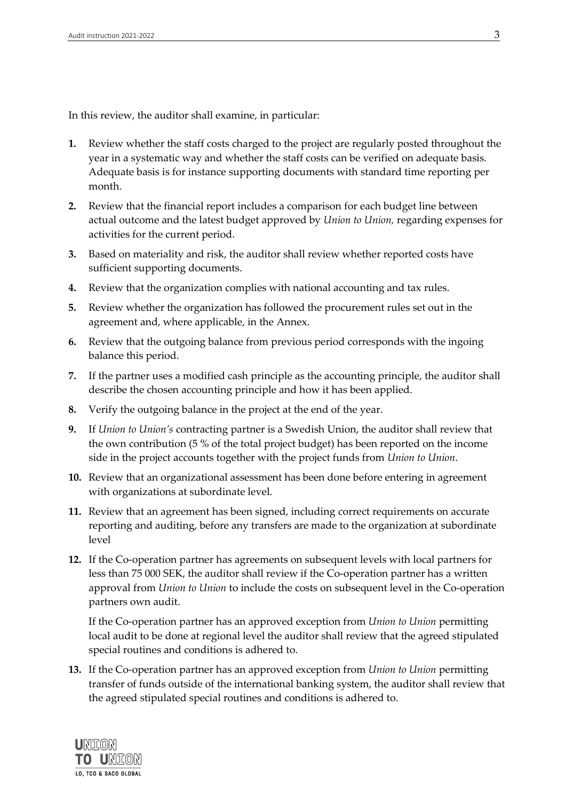In this review, the auditor shall examine, in particular:

- **1.** Review whether the staff costs charged to the project are regularly posted throughout the year in a systematic way and whether the staff costs can be verified on adequate basis. Adequate basis is for instance supporting documents with standard time reporting per month.
- **2.** Review that the financial report includes a comparison for each budget line between actual outcome and the latest budget approved by *Union to Union,* regarding expenses for activities for the current period.
- **3.** Based on materiality and risk, the auditor shall review whether reported costs have sufficient supporting documents.
- **4.** Review that the organization complies with national accounting and tax rules.
- **5.** Review whether the organization has followed the procurement rules set out in the agreement and, where applicable, in the Annex.
- **6.** Review that the outgoing balance from previous period corresponds with the ingoing balance this period.
- **7.** If the partner uses a modified cash principle as the accounting principle, the auditor shall describe the chosen accounting principle and how it has been applied.
- **8.** Verify the outgoing balance in the project at the end of the year.
- **9.** If *Union to Union's* contracting partner is a Swedish Union, the auditor shall review that the own contribution (5 % of the total project budget) has been reported on the income side in the project accounts together with the project funds from *Union to Union*.
- **10.** Review that an organizational assessment has been done before entering in agreement with organizations at subordinate level.
- **11.** Review that an agreement has been signed, including correct requirements on accurate reporting and auditing, before any transfers are made to the organization at subordinate level
- **12.** If the Co-operation partner has agreements on subsequent levels with local partners for less than 75 000 SEK, the auditor shall review if the Co-operation partner has a written approval from *Union to Union* to include the costs on subsequent level in the Co-operation partners own audit.

If the Co-operation partner has an approved exception from *Union to Union* permitting local audit to be done at regional level the auditor shall review that the agreed stipulated special routines and conditions is adhered to.

**13.** If the Co-operation partner has an approved exception from *Union to Union* permitting transfer of funds outside of the international banking system, the auditor shall review that the agreed stipulated special routines and conditions is adhered to.